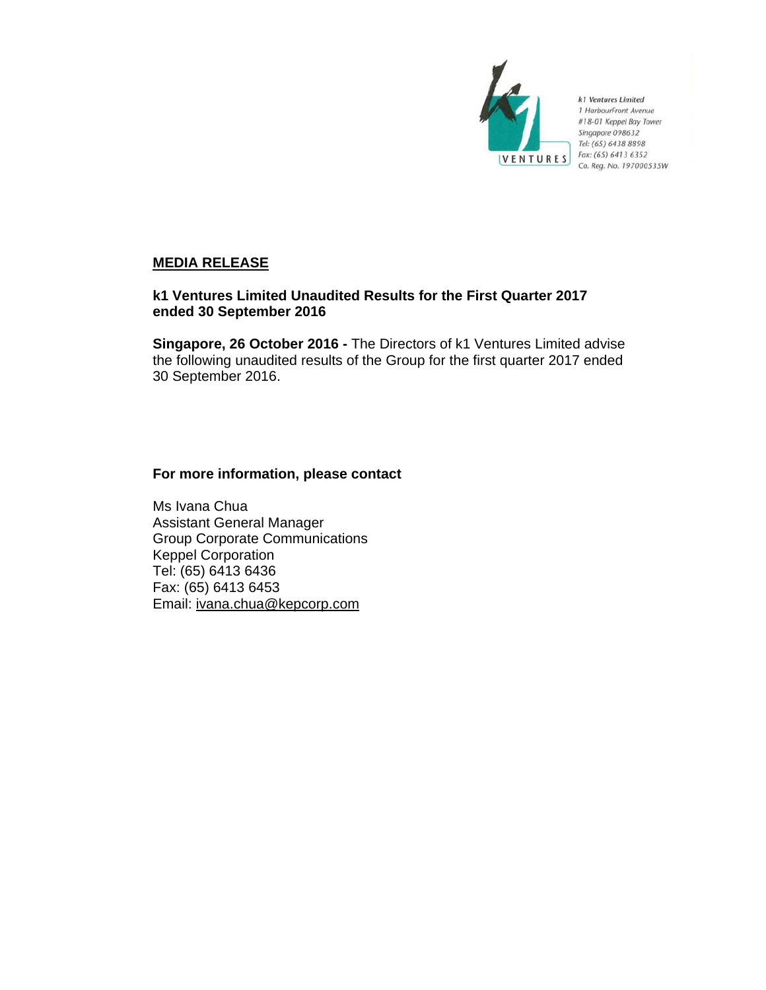

k1 Ventures Limited 1 HarbourFront Avenue #18-01 Keppel Bay Tower Singapore 098632 Tel: (65) 6438 8898 Fax: (65) 6413 6352 Co. Reg. No. 197000535W

# **MEDIA RELEASE**

# **k1 Ventures Limited Unaudited Results for the First Quarter 2017 ended 30 September 2016**

**Singapore, 26 October 2016 -** The Directors of k1 Ventures Limited advise the following unaudited results of the Group for the first quarter 2017 ended 30 September 2016.

# **For more information, please contact**

Ms Ivana Chua Assistant General Manager Group Corporate Communications Keppel Corporation Tel: (65) 6413 6436 Fax: (65) 6413 6453 Email: ivana.chua@kepcorp.com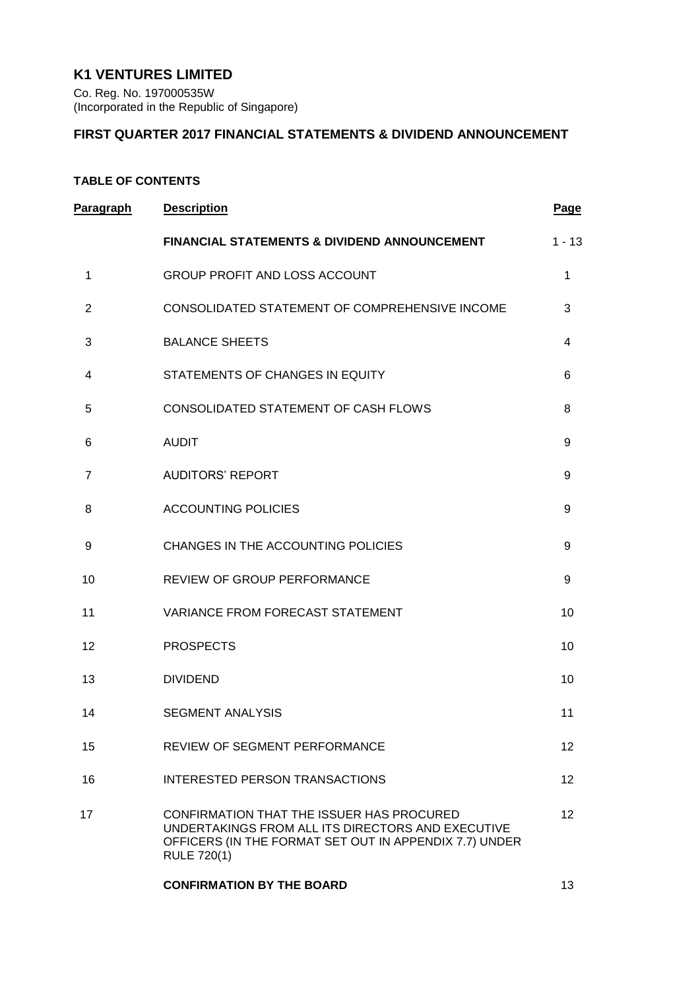# **K1 VENTURES LIMITED**

Co. Reg. No. 197000535W (Incorporated in the Republic of Singapore)

# **FIRST QUARTER 2017 FINANCIAL STATEMENTS & DIVIDEND ANNOUNCEMENT**

# **TABLE OF CONTENTS**

| Paragraph      | <b>Description</b>                                                                                                                                                             | <b>Page</b>     |
|----------------|--------------------------------------------------------------------------------------------------------------------------------------------------------------------------------|-----------------|
|                | <b>FINANCIAL STATEMENTS &amp; DIVIDEND ANNOUNCEMENT</b>                                                                                                                        | $1 - 13$        |
| 1              | <b>GROUP PROFIT AND LOSS ACCOUNT</b>                                                                                                                                           | 1               |
| 2              | CONSOLIDATED STATEMENT OF COMPREHENSIVE INCOME                                                                                                                                 | 3               |
| 3              | <b>BALANCE SHEETS</b>                                                                                                                                                          | 4               |
| 4              | STATEMENTS OF CHANGES IN EQUITY                                                                                                                                                | 6               |
| 5              | CONSOLIDATED STATEMENT OF CASH FLOWS                                                                                                                                           | 8               |
| 6              | <b>AUDIT</b>                                                                                                                                                                   | 9               |
| $\overline{7}$ | <b>AUDITORS' REPORT</b>                                                                                                                                                        | 9               |
| 8              | <b>ACCOUNTING POLICIES</b>                                                                                                                                                     | 9               |
| 9              | CHANGES IN THE ACCOUNTING POLICIES                                                                                                                                             | 9               |
| 10             | REVIEW OF GROUP PERFORMANCE                                                                                                                                                    | 9               |
| 11             | VARIANCE FROM FORECAST STATEMENT                                                                                                                                               | 10              |
| 12             | <b>PROSPECTS</b>                                                                                                                                                               | 10              |
| 13             | <b>DIVIDEND</b>                                                                                                                                                                | 10              |
| 14             | <b>SEGMENT ANALYSIS</b>                                                                                                                                                        | 11              |
| 15             | <b>REVIEW OF SEGMENT PERFORMANCE</b>                                                                                                                                           | 12 <sup>2</sup> |
| 16             | INTERESTED PERSON TRANSACTIONS                                                                                                                                                 | 12 <sup>2</sup> |
| 17             | CONFIRMATION THAT THE ISSUER HAS PROCURED<br>UNDERTAKINGS FROM ALL ITS DIRECTORS AND EXECUTIVE<br>OFFICERS (IN THE FORMAT SET OUT IN APPENDIX 7.7) UNDER<br><b>RULE 720(1)</b> | 12 <sup>2</sup> |
|                | <b>CONFIRMATION BY THE BOARD</b>                                                                                                                                               | 13              |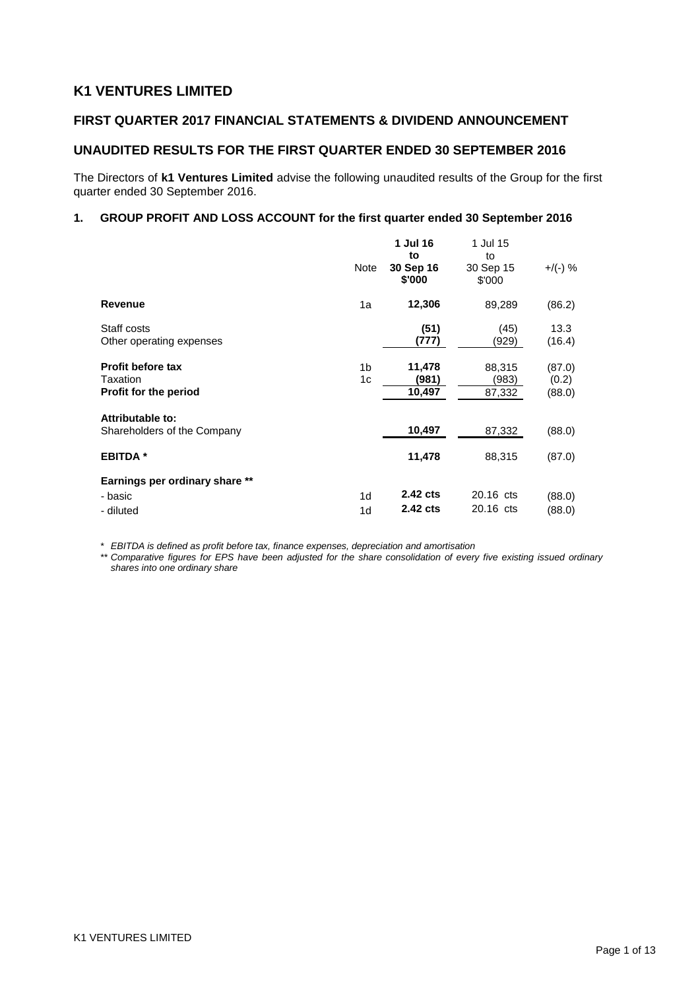# **K1 VENTURES LIMITED**

# **FIRST QUARTER 2017 FINANCIAL STATEMENTS & DIVIDEND ANNOUNCEMENT**

# **UNAUDITED RESULTS FOR THE FIRST QUARTER ENDED 30 SEPTEMBER 2016**

The Directors of **k1 Ventures Limited** advise the following unaudited results of the Group for the first quarter ended 30 September 2016.

### **1. GROUP PROFIT AND LOSS ACCOUNT for the first quarter ended 30 September 2016**

|                                                               | Note                             | 1 Jul 16<br>to<br>30 Sep 16<br>\$'000 | 1 Jul 15<br>to<br>30 Sep 15<br>\$'000 | $+$ /(-) %                |
|---------------------------------------------------------------|----------------------------------|---------------------------------------|---------------------------------------|---------------------------|
| Revenue                                                       | 1a                               | 12,306                                | 89,289                                | (86.2)                    |
| Staff costs<br>Other operating expenses                       |                                  | (51)<br>(777)                         | (45)<br>(929)                         | 13.3<br>(16.4)            |
| <b>Profit before tax</b><br>Taxation<br>Profit for the period | 1 <sub>b</sub><br>1c             | 11,478<br>(981)<br>10,497             | 88,315<br>(983)<br>87,332             | (87.0)<br>(0.2)<br>(88.0) |
| Attributable to:<br>Shareholders of the Company               |                                  | 10,497                                | 87,332                                | (88.0)                    |
| <b>EBITDA</b> *                                               |                                  | 11,478                                | 88,315                                | (87.0)                    |
| Earnings per ordinary share **                                |                                  |                                       |                                       |                           |
| - basic<br>- diluted                                          | 1 <sub>d</sub><br>1 <sub>d</sub> | 2.42 cts<br>2.42 cts                  | 20.16 cts<br>20.16 cts                | (88.0)<br>(88.0)          |

*\* EBITDA is defined as profit before tax, finance expenses, depreciation and amortisation*

*\*\* Comparative figures for EPS have been adjusted for the share consolidation of every five existing issued ordinary shares into one ordinary share*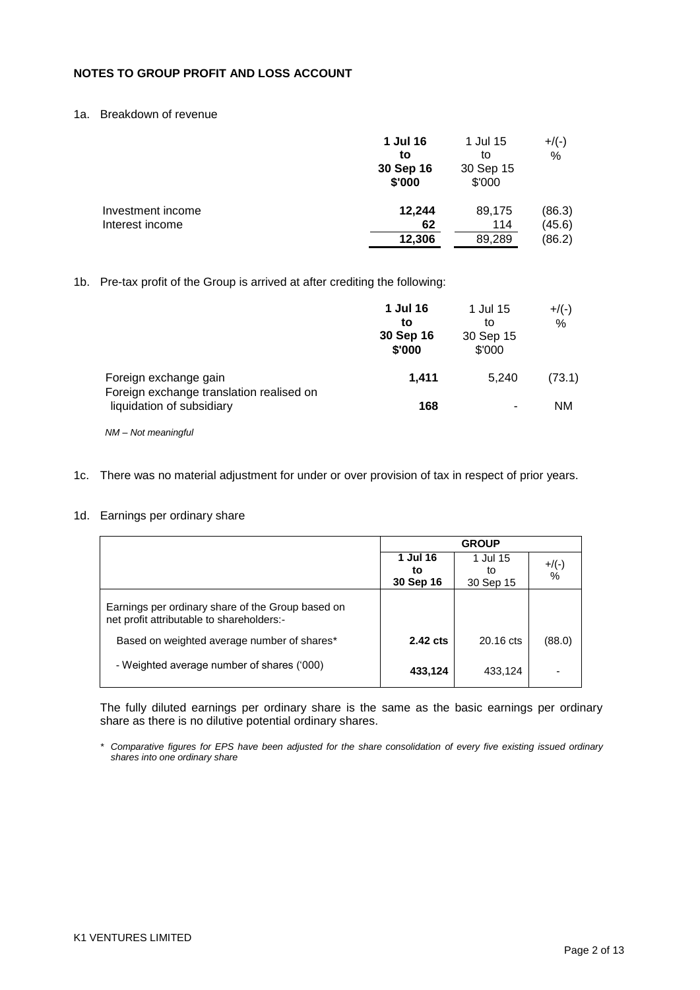# **NOTES TO GROUP PROFIT AND LOSS ACCOUNT**

# 1a. Breakdown of revenue

|                   | 1 Jul 16  | 1 Jul 15  | $+$ /(-) |
|-------------------|-----------|-----------|----------|
|                   | to        | to        | %        |
|                   | 30 Sep 16 | 30 Sep 15 |          |
|                   | \$'000    | \$'000    |          |
| Investment income | 12,244    | 89,175    | (86.3)   |
| Interest income   | 62        | 114       | (45.6)   |
|                   | 12,306    | 89,289    | (86.2)   |

### 1b. Pre-tax profit of the Group is arrived at after crediting the following:

|                                                                       | 1 Jul 16<br>to<br>30 Sep 16<br>\$'000 | 1 Jul 15<br>to<br>30 Sep 15<br>\$'000 | $+$ /(-)<br>% |
|-----------------------------------------------------------------------|---------------------------------------|---------------------------------------|---------------|
| Foreign exchange gain                                                 | 1.411                                 | 5.240                                 | (73.1)        |
| Foreign exchange translation realised on<br>liquidation of subsidiary | 168                                   |                                       | NM            |

*NM – Not meaningful*

## 1c. There was no material adjustment for under or over provision of tax in respect of prior years.

### 1d. Earnings per ordinary share

|                                                                                                | <b>GROUP</b> |           |          |  |
|------------------------------------------------------------------------------------------------|--------------|-----------|----------|--|
|                                                                                                | 1 Jul 16     | 1 Jul 15  | $+$ /(-) |  |
|                                                                                                | to           | to        | $\%$     |  |
|                                                                                                | 30 Sep 16    | 30 Sep 15 |          |  |
| Earnings per ordinary share of the Group based on<br>net profit attributable to shareholders:- |              |           |          |  |
| Based on weighted average number of shares*                                                    | 2.42 cts     | 20.16 cts | (88.0)   |  |
| - Weighted average number of shares ('000)                                                     | 433,124      | 433,124   |          |  |

The fully diluted earnings per ordinary share is the same as the basic earnings per ordinary share as there is no dilutive potential ordinary shares.

*\* Comparative figures for EPS have been adjusted for the share consolidation of every five existing issued ordinary shares into one ordinary share*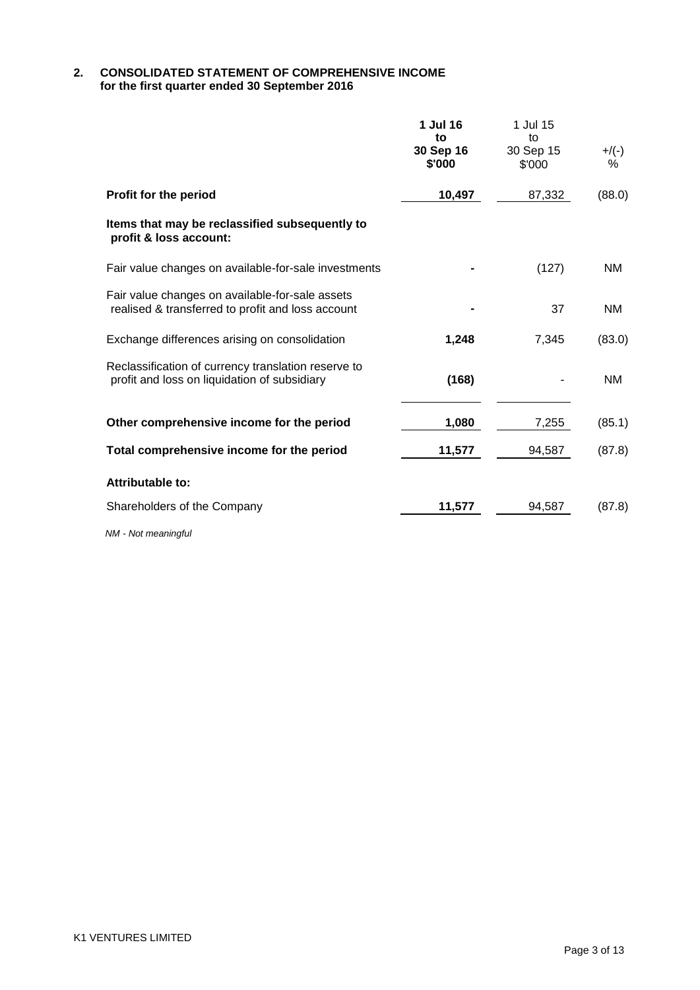### **2. CONSOLIDATED STATEMENT OF COMPREHENSIVE INCOME for the first quarter ended 30 September 2016**

|                                                                                                                                                                                                                                                                                                                                                                                                                         | 1 Jul 16<br>to<br>30 Sep 16<br>\$'000 | 1 Jul 15<br>to<br>30 Sep 15<br>\$'000 | $+$ /(-)<br>% |
|-------------------------------------------------------------------------------------------------------------------------------------------------------------------------------------------------------------------------------------------------------------------------------------------------------------------------------------------------------------------------------------------------------------------------|---------------------------------------|---------------------------------------|---------------|
| Profit for the period                                                                                                                                                                                                                                                                                                                                                                                                   | 10,497                                | 87,332                                | (88.0)        |
| Items that may be reclassified subsequently to<br>profit & loss account:                                                                                                                                                                                                                                                                                                                                                |                                       |                                       |               |
| Fair value changes on available-for-sale investments                                                                                                                                                                                                                                                                                                                                                                    |                                       | (127)                                 | <b>NM</b>     |
| Fair value changes on available-for-sale assets<br>realised & transferred to profit and loss account                                                                                                                                                                                                                                                                                                                    |                                       | 37                                    | <b>NM</b>     |
| Exchange differences arising on consolidation                                                                                                                                                                                                                                                                                                                                                                           | 1,248                                 | 7,345                                 | (83.0)        |
| Reclassification of currency translation reserve to<br>profit and loss on liquidation of subsidiary                                                                                                                                                                                                                                                                                                                     | (168)                                 |                                       | <b>NM</b>     |
| Other comprehensive income for the period                                                                                                                                                                                                                                                                                                                                                                               | 1,080                                 | 7,255                                 | (85.1)        |
| Total comprehensive income for the period                                                                                                                                                                                                                                                                                                                                                                               | 11,577                                | 94,587                                | (87.8)        |
| <b>Attributable to:</b>                                                                                                                                                                                                                                                                                                                                                                                                 |                                       |                                       |               |
| Shareholders of the Company                                                                                                                                                                                                                                                                                                                                                                                             | 11,577                                | 94,587                                | (87.8)        |
| $\mathbf{A} \mathbf{B} \mathbf{A} = \mathbf{A} \mathbf{I} + \mathbf{A} \mathbf{A} + \mathbf{A} \mathbf{A} + \mathbf{A} \mathbf{A} + \mathbf{A} \mathbf{A} + \mathbf{A} \mathbf{A} + \mathbf{A} \mathbf{A} + \mathbf{A} \mathbf{A} + \mathbf{A} \mathbf{A} + \mathbf{A} \mathbf{A} + \mathbf{A} \mathbf{A} + \mathbf{A} \mathbf{A} + \mathbf{A} \mathbf{A} + \mathbf{A} \mathbf{A} + \mathbf{A} \mathbf{A} + \mathbf{A}$ |                                       |                                       |               |

*NM - Not meaningful*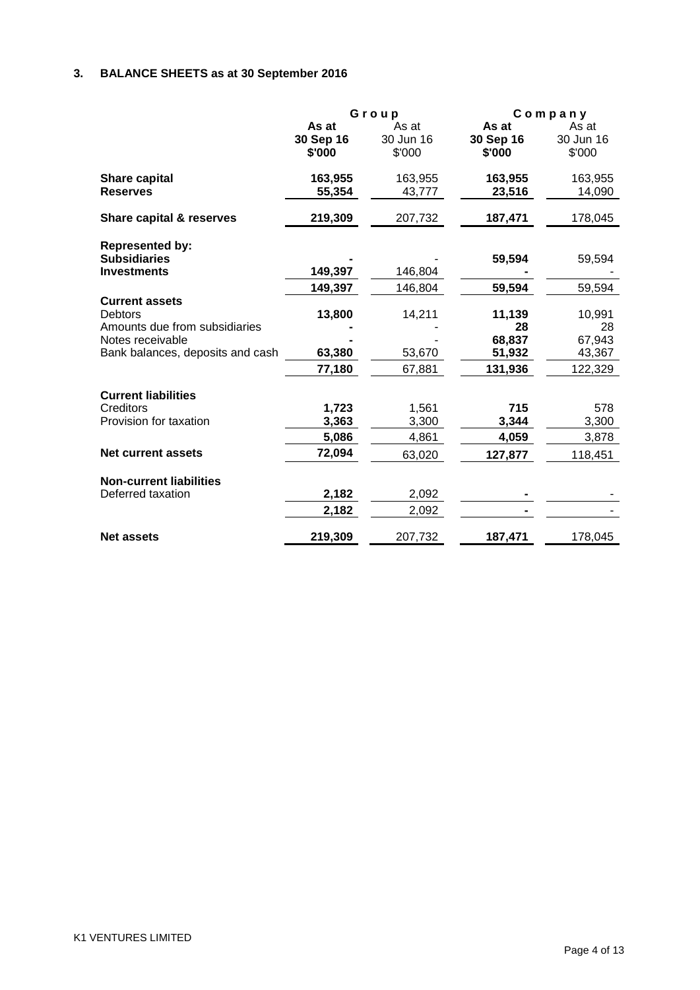# **3. BALANCE SHEETS as at 30 September 2016**

|                                                                                                                                  | Group                        |                              |                                             | $C$ ompany                                  |
|----------------------------------------------------------------------------------------------------------------------------------|------------------------------|------------------------------|---------------------------------------------|---------------------------------------------|
|                                                                                                                                  | As at<br>30 Sep 16<br>\$'000 | As at<br>30 Jun 16<br>\$'000 | As at<br>30 Sep 16<br>\$'000                | As at<br>30 Jun 16<br>\$'000                |
| <b>Share capital</b><br><b>Reserves</b>                                                                                          | 163,955<br>55,354            | 163,955<br>43,777            | 163,955<br>23,516                           | 163,955<br>14,090                           |
| Share capital & reserves                                                                                                         | 219,309                      | 207,732                      | 187,471                                     | 178,045                                     |
| <b>Represented by:</b><br><b>Subsidiaries</b><br><b>Investments</b>                                                              | 149,397                      | 146,804                      | 59,594                                      | 59,594                                      |
|                                                                                                                                  | 149,397                      | 146,804                      | 59,594                                      | 59,594                                      |
| <b>Current assets</b><br><b>Debtors</b><br>Amounts due from subsidiaries<br>Notes receivable<br>Bank balances, deposits and cash | 13,800<br>63,380<br>77,180   | 14,211<br>53,670<br>67,881   | 11,139<br>28<br>68,837<br>51,932<br>131,936 | 10,991<br>28<br>67,943<br>43,367<br>122,329 |
|                                                                                                                                  |                              |                              |                                             |                                             |
| <b>Current liabilities</b><br>Creditors<br>Provision for taxation                                                                | 1,723<br>3,363<br>5,086      | 1,561<br>3,300<br>4,861      | 715<br>3,344<br>4,059                       | 578<br>3,300<br>3,878                       |
| Net current assets                                                                                                               | 72,094                       | 63,020                       | 127,877                                     | 118,451                                     |
| <b>Non-current liabilities</b><br>Deferred taxation                                                                              | 2,182<br>2,182               | 2,092<br>2,092               |                                             |                                             |
| <b>Net assets</b>                                                                                                                | 219,309                      | 207,732                      | 187,471                                     | 178,045                                     |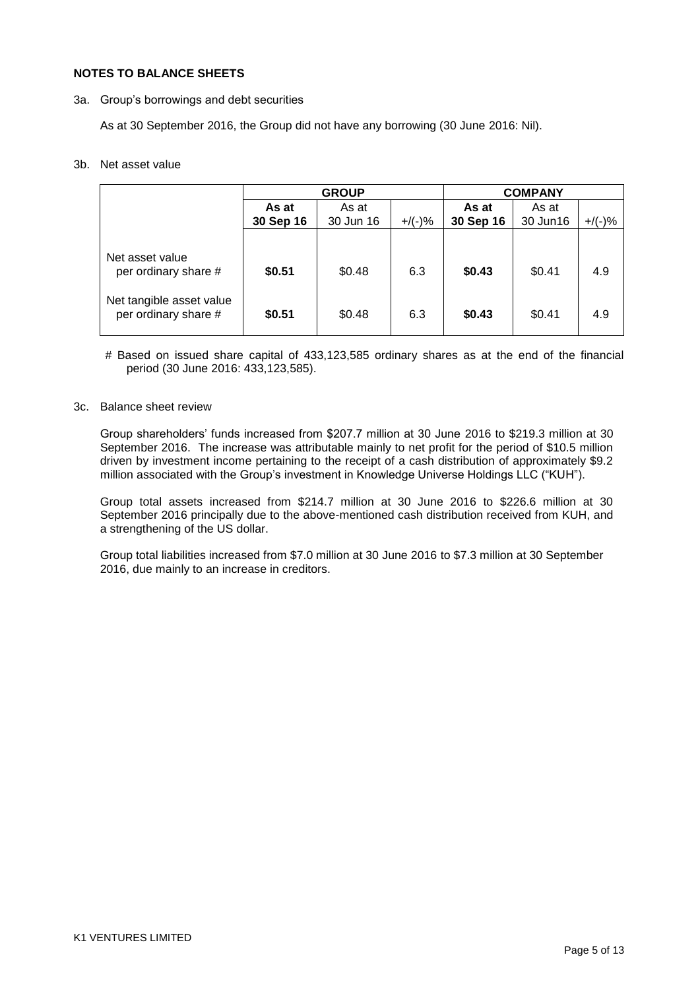### **NOTES TO BALANCE SHEETS**

3a. Group"s borrowings and debt securities

As at 30 September 2016, the Group did not have any borrowing (30 June 2016: Nil).

### 3b. Net asset value

|                                                  | <b>GROUP</b> |           |           |           | <b>COMPANY</b> |           |
|--------------------------------------------------|--------------|-----------|-----------|-----------|----------------|-----------|
|                                                  | As at        | As at     |           | As at     | As at          |           |
|                                                  | 30 Sep 16    | 30 Jun 16 | $+$ /(-)% | 30 Sep 16 | 30 Jun16       | $+$ /(-)% |
|                                                  |              |           |           |           |                |           |
| Net asset value<br>per ordinary share #          | \$0.51       | \$0.48    | 6.3       | \$0.43    | \$0.41         | 4.9       |
| Net tangible asset value<br>per ordinary share # | \$0.51       | \$0.48    | 6.3       | \$0.43    | \$0.41         | 4.9       |

# Based on issued share capital of 433,123,585 ordinary shares as at the end of the financial period (30 June 2016: 433,123,585).

### 3c. Balance sheet review

Group shareholders" funds increased from \$207.7 million at 30 June 2016 to \$219.3 million at 30 September 2016. The increase was attributable mainly to net profit for the period of \$10.5 million driven by investment income pertaining to the receipt of a cash distribution of approximately \$9.2 million associated with the Group"s investment in Knowledge Universe Holdings LLC ("KUH").

Group total assets increased from \$214.7 million at 30 June 2016 to \$226.6 million at 30 September 2016 principally due to the above-mentioned cash distribution received from KUH, and a strengthening of the US dollar.

Group total liabilities increased from \$7.0 million at 30 June 2016 to \$7.3 million at 30 September 2016, due mainly to an increase in creditors.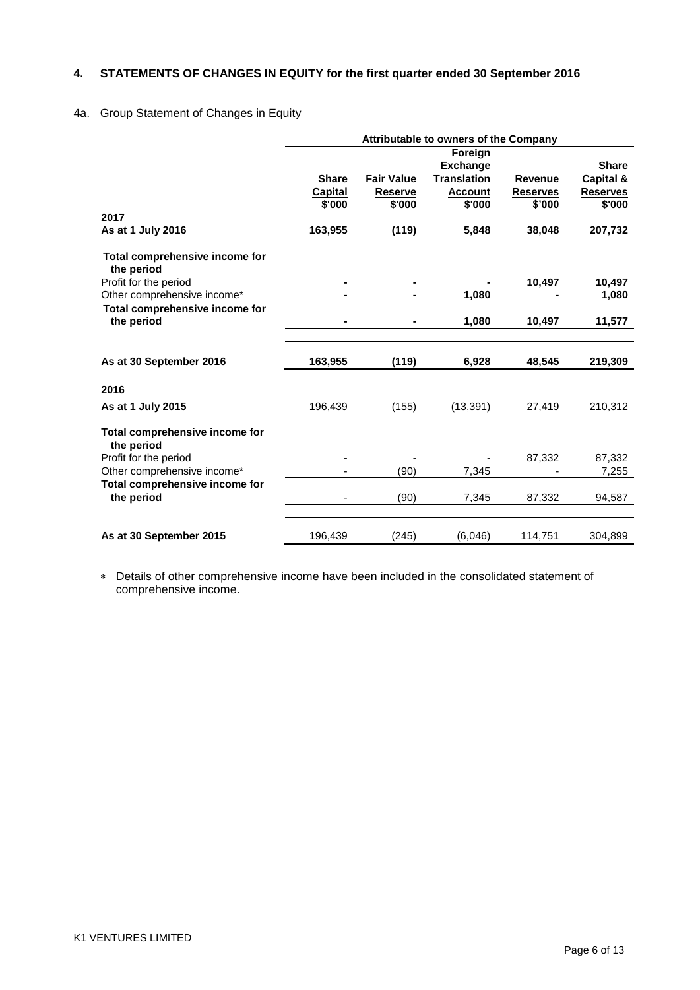# **4. STATEMENTS OF CHANGES IN EQUITY for the first quarter ended 30 September 2016**

# 4a. Group Statement of Changes in Equity

|                                              | Attributable to owners of the Company |                          |                          |                           |                           |
|----------------------------------------------|---------------------------------------|--------------------------|--------------------------|---------------------------|---------------------------|
|                                              |                                       |                          | Foreign                  |                           |                           |
|                                              |                                       |                          | <b>Exchange</b>          |                           | <b>Share</b>              |
|                                              | <b>Share</b>                          | <b>Fair Value</b>        | <b>Translation</b>       | Revenue                   | Capital &                 |
|                                              | <b>Capital</b><br>\$'000              | <b>Reserve</b><br>\$'000 | <b>Account</b><br>\$'000 | <b>Reserves</b><br>\$'000 | <b>Reserves</b><br>\$'000 |
| 2017                                         |                                       |                          |                          |                           |                           |
| As at 1 July 2016                            | 163,955                               | (119)                    | 5,848                    | 38,048                    | 207,732                   |
| Total comprehensive income for<br>the period |                                       |                          |                          |                           |                           |
| Profit for the period                        |                                       |                          |                          | 10,497                    | 10,497                    |
| Other comprehensive income*                  |                                       |                          | 1,080                    |                           | 1,080                     |
| Total comprehensive income for<br>the period | $\blacksquare$                        |                          | 1,080                    | 10,497                    | 11,577                    |
|                                              |                                       |                          |                          |                           |                           |
| As at 30 September 2016                      | 163,955                               | (119)                    | 6,928                    | 48,545                    | 219,309                   |
| 2016                                         |                                       |                          |                          |                           |                           |
| As at 1 July 2015                            | 196,439                               | (155)                    | (13, 391)                | 27,419                    | 210,312                   |
| Total comprehensive income for<br>the period |                                       |                          |                          |                           |                           |
| Profit for the period                        |                                       |                          |                          | 87,332                    | 87,332                    |
| Other comprehensive income*                  |                                       | (90)                     | 7,345                    |                           | 7,255                     |
| Total comprehensive income for<br>the period |                                       | (90)                     | 7,345                    | 87,332                    | 94,587                    |
|                                              |                                       |                          |                          |                           |                           |
| As at 30 September 2015                      | 196,439                               | (245)                    | (6,046)                  | 114,751                   | 304,899                   |

 Details of other comprehensive income have been included in the consolidated statement of comprehensive income.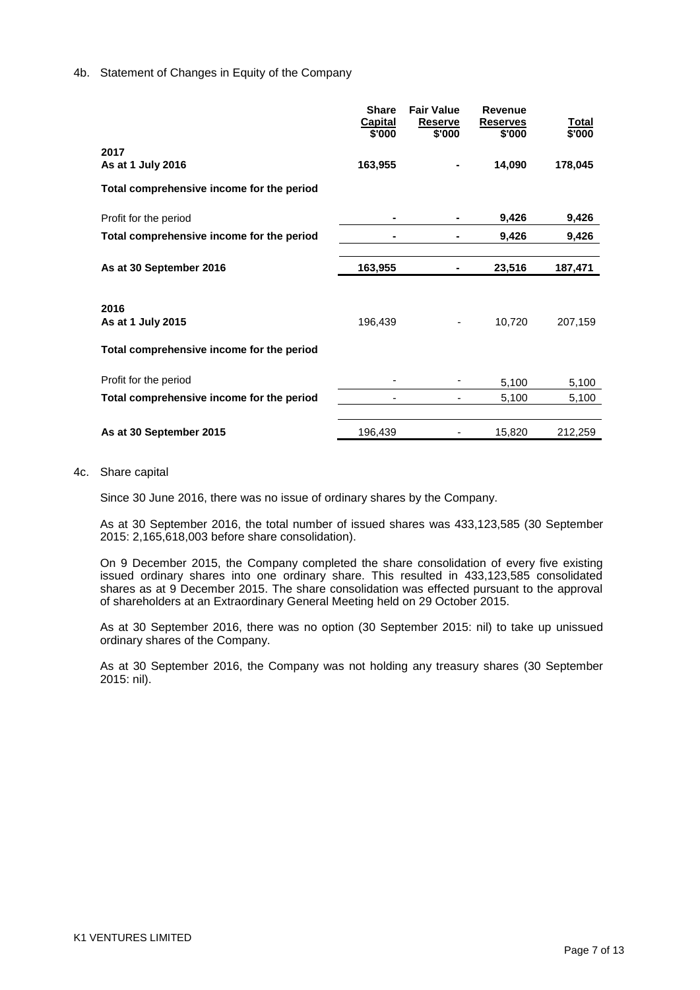### 4b. Statement of Changes in Equity of the Company

|                                           | <b>Share</b><br>Capital<br>\$'000 | <b>Fair Value</b><br><b>Reserve</b><br>\$'000 | <b>Revenue</b><br><b>Reserves</b><br>\$'000 | Total<br>\$'000 |
|-------------------------------------------|-----------------------------------|-----------------------------------------------|---------------------------------------------|-----------------|
| 2017<br>As at 1 July 2016                 | 163,955                           |                                               | 14,090                                      | 178,045         |
| Total comprehensive income for the period |                                   |                                               |                                             |                 |
| Profit for the period                     |                                   | $\blacksquare$                                | 9,426                                       | 9,426           |
| Total comprehensive income for the period |                                   |                                               | 9,426                                       | 9,426           |
| As at 30 September 2016                   | 163,955                           | $\blacksquare$                                | 23,516                                      | 187,471         |
| 2016<br>As at 1 July 2015                 | 196,439                           |                                               | 10,720                                      | 207,159         |
| Total comprehensive income for the period |                                   |                                               |                                             |                 |
| Profit for the period                     |                                   |                                               | 5,100                                       | 5,100           |
| Total comprehensive income for the period |                                   |                                               | 5,100                                       | 5,100           |
| As at 30 September 2015                   | 196,439                           |                                               | 15,820                                      | 212,259         |

#### 4c. Share capital

Since 30 June 2016, there was no issue of ordinary shares by the Company.

As at 30 September 2016, the total number of issued shares was 433,123,585 (30 September 2015: 2,165,618,003 before share consolidation).

On 9 December 2015, the Company completed the share consolidation of every five existing issued ordinary shares into one ordinary share. This resulted in 433,123,585 consolidated shares as at 9 December 2015. The share consolidation was effected pursuant to the approval of shareholders at an Extraordinary General Meeting held on 29 October 2015.

As at 30 September 2016, there was no option (30 September 2015: nil) to take up unissued ordinary shares of the Company.

As at 30 September 2016, the Company was not holding any treasury shares (30 September 2015: nil).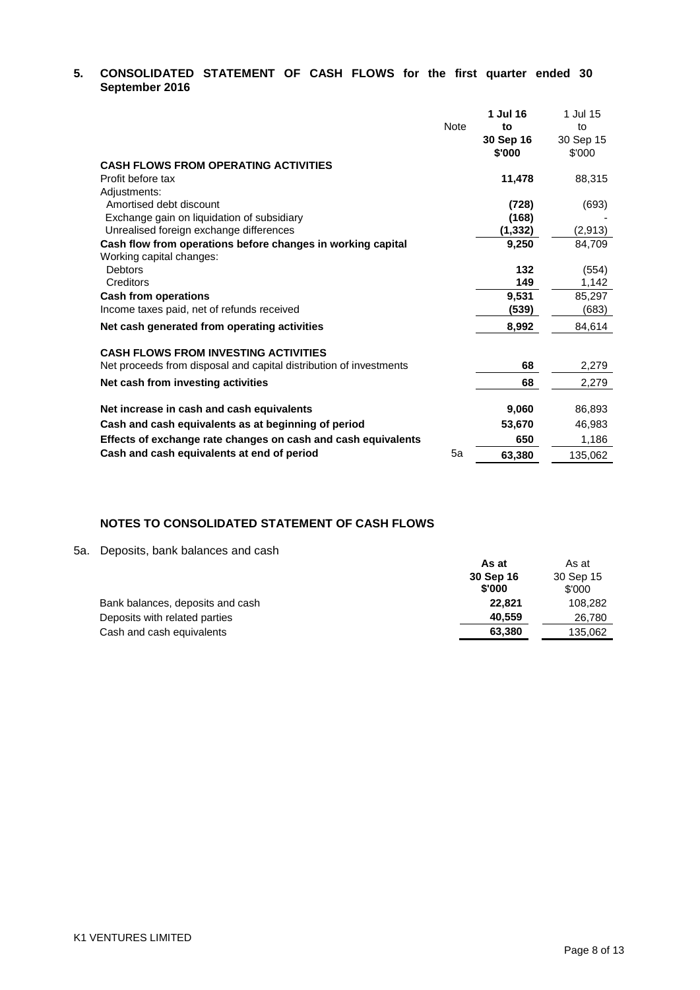# **5. CONSOLIDATED STATEMENT OF CASH FLOWS for the first quarter ended 30 September 2016**

|                                                                    |             | 1 Jul 16  | 1 Jul 15  |
|--------------------------------------------------------------------|-------------|-----------|-----------|
|                                                                    | <b>Note</b> | to        | to        |
|                                                                    |             | 30 Sep 16 | 30 Sep 15 |
|                                                                    |             | \$'000    | \$'000    |
| <b>CASH FLOWS FROM OPERATING ACTIVITIES</b>                        |             |           |           |
| Profit before tax                                                  |             | 11,478    | 88,315    |
| Adjustments:                                                       |             |           |           |
| Amortised debt discount                                            |             | (728)     | (693)     |
| Exchange gain on liquidation of subsidiary                         |             | (168)     |           |
| Unrealised foreign exchange differences                            |             | (1,332)   | (2,913)   |
| Cash flow from operations before changes in working capital        |             | 9,250     | 84,709    |
| Working capital changes:                                           |             |           |           |
| <b>Debtors</b>                                                     |             | 132       | (554)     |
| Creditors                                                          |             | 149       | 1,142     |
| <b>Cash from operations</b>                                        |             | 9,531     | 85,297    |
| Income taxes paid, net of refunds received                         |             | (539)     | (683)     |
| Net cash generated from operating activities                       |             | 8,992     | 84,614    |
| <b>CASH FLOWS FROM INVESTING ACTIVITIES</b>                        |             |           |           |
| Net proceeds from disposal and capital distribution of investments |             | 68        | 2,279     |
| Net cash from investing activities                                 |             | 68        | 2,279     |
| Net increase in cash and cash equivalents                          |             | 9,060     | 86,893    |
| Cash and cash equivalents as at beginning of period                |             | 53,670    | 46,983    |
| Effects of exchange rate changes on cash and cash equivalents      |             | 650       | 1,186     |
| Cash and cash equivalents at end of period                         | 5a          | 63,380    | 135,062   |

# **NOTES TO CONSOLIDATED STATEMENT OF CASH FLOWS**

# 5a. Deposits, bank balances and cash

| Deposito, barin baiariceo aria caori | As at<br>30 Sep 16<br>\$'000 | As at<br>30 Sep 15<br>\$'000 |
|--------------------------------------|------------------------------|------------------------------|
| Bank balances, deposits and cash     | 22.821                       | 108,282                      |
| Deposits with related parties        | 40.559                       | 26,780                       |
| Cash and cash equivalents            | 63,380                       | 135,062                      |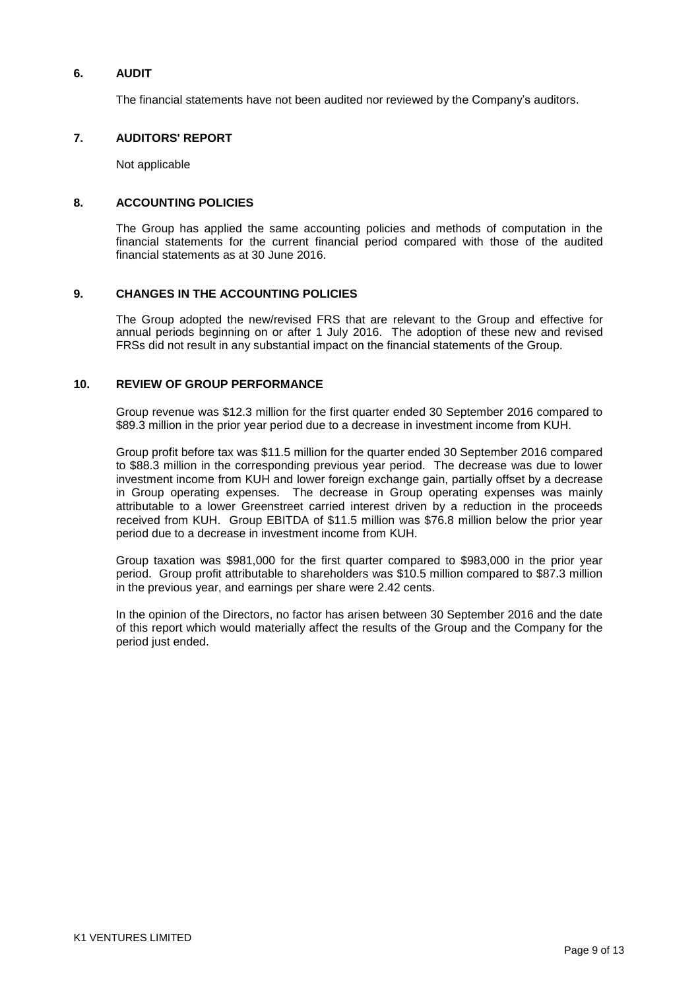# **6. AUDIT**

The financial statements have not been audited nor reviewed by the Company"s auditors.

### **7. AUDITORS' REPORT**

Not applicable

### **8. ACCOUNTING POLICIES**

The Group has applied the same accounting policies and methods of computation in the financial statements for the current financial period compared with those of the audited financial statements as at 30 June 2016.

### **9. CHANGES IN THE ACCOUNTING POLICIES**

The Group adopted the new/revised FRS that are relevant to the Group and effective for annual periods beginning on or after 1 July 2016. The adoption of these new and revised FRSs did not result in any substantial impact on the financial statements of the Group.

### **10. REVIEW OF GROUP PERFORMANCE**

Group revenue was \$12.3 million for the first quarter ended 30 September 2016 compared to \$89.3 million in the prior year period due to a decrease in investment income from KUH.

Group profit before tax was \$11.5 million for the quarter ended 30 September 2016 compared to \$88.3 million in the corresponding previous year period. The decrease was due to lower investment income from KUH and lower foreign exchange gain, partially offset by a decrease in Group operating expenses. The decrease in Group operating expenses was mainly attributable to a lower Greenstreet carried interest driven by a reduction in the proceeds received from KUH. Group EBITDA of \$11.5 million was \$76.8 million below the prior year period due to a decrease in investment income from KUH.

Group taxation was \$981,000 for the first quarter compared to \$983,000 in the prior year period. Group profit attributable to shareholders was \$10.5 million compared to \$87.3 million in the previous year, and earnings per share were 2.42 cents.

In the opinion of the Directors, no factor has arisen between 30 September 2016 and the date of this report which would materially affect the results of the Group and the Company for the period just ended.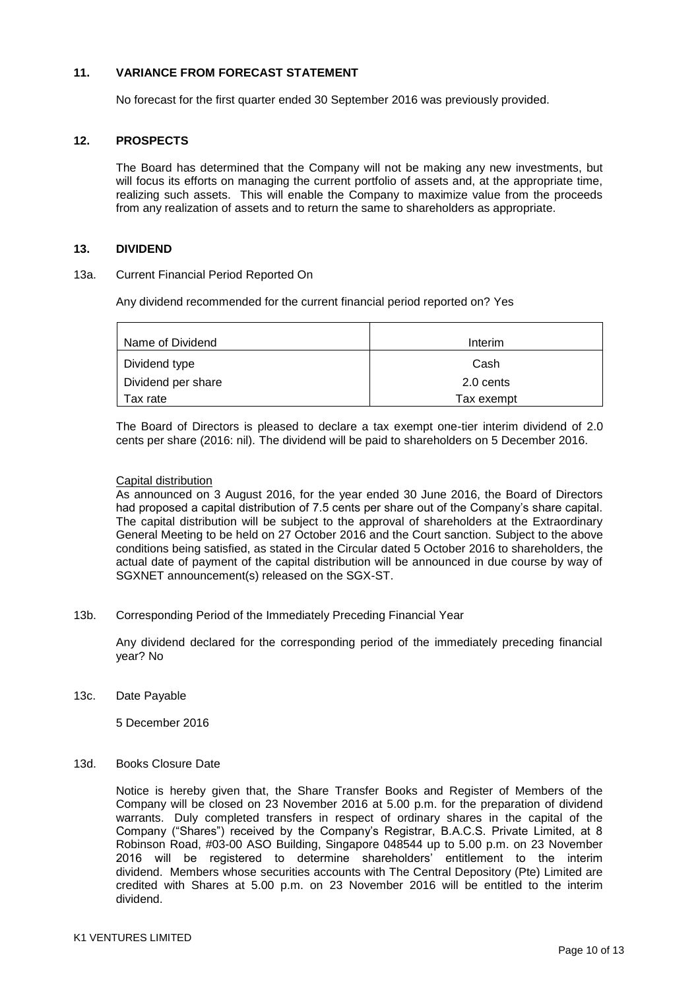### **11. VARIANCE FROM FORECAST STATEMENT**

No forecast for the first quarter ended 30 September 2016 was previously provided.

### **12. PROSPECTS**

The Board has determined that the Company will not be making any new investments, but will focus its efforts on managing the current portfolio of assets and, at the appropriate time, realizing such assets. This will enable the Company to maximize value from the proceeds from any realization of assets and to return the same to shareholders as appropriate.

### **13. DIVIDEND**

#### 13a. Current Financial Period Reported On

Any dividend recommended for the current financial period reported on? Yes

| Name of Dividend   | Interim    |
|--------------------|------------|
| Dividend type      | Cash       |
| Dividend per share | 2.0 cents  |
| Tax rate           | Tax exempt |

The Board of Directors is pleased to declare a tax exempt one-tier interim dividend of 2.0 cents per share (2016: nil). The dividend will be paid to shareholders on 5 December 2016.

#### Capital distribution

As announced on 3 August 2016, for the year ended 30 June 2016, the Board of Directors had proposed a capital distribution of 7.5 cents per share out of the Company's share capital. The capital distribution will be subject to the approval of shareholders at the Extraordinary General Meeting to be held on 27 October 2016 and the Court sanction. Subject to the above conditions being satisfied, as stated in the Circular dated 5 October 2016 to shareholders, the actual date of payment of the capital distribution will be announced in due course by way of SGXNET announcement(s) released on the SGX-ST.

13b. Corresponding Period of the Immediately Preceding Financial Year

Any dividend declared for the corresponding period of the immediately preceding financial year? No

13c. Date Payable

5 December 2016

### 13d. Books Closure Date

Notice is hereby given that, the Share Transfer Books and Register of Members of the Company will be closed on 23 November 2016 at 5.00 p.m. for the preparation of dividend warrants. Duly completed transfers in respect of ordinary shares in the capital of the Company ("Shares") received by the Company"s Registrar, B.A.C.S. Private Limited, at 8 Robinson Road, #03-00 ASO Building, Singapore 048544 up to 5.00 p.m. on 23 November 2016 will be registered to determine shareholders" entitlement to the interim dividend. Members whose securities accounts with The Central Depository (Pte) Limited are credited with Shares at 5.00 p.m. on 23 November 2016 will be entitled to the interim dividend.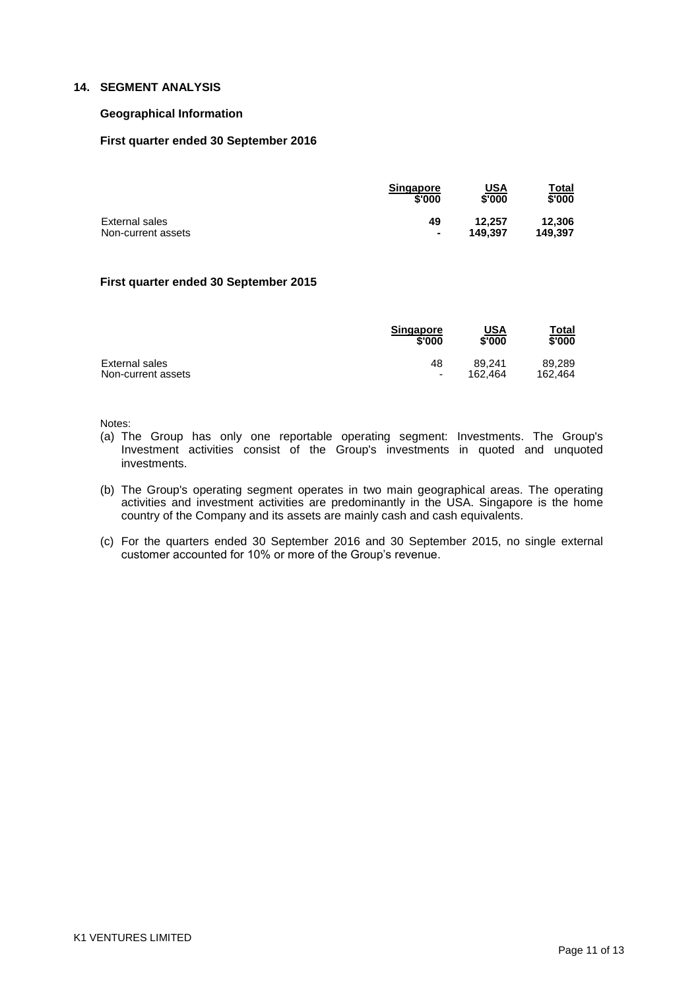# **14. SEGMENT ANALYSIS**

### **Geographical Information**

### **First quarter ended 30 September 2016**

|                    | <b>Singapore</b> | <u>USA</u> | <u>Total</u> |
|--------------------|------------------|------------|--------------|
|                    | \$'000           | \$'000     | \$'000       |
| External sales     | 49               | 12.257     | 12.306       |
| Non-current assets | $\sim$           | 149.397    | 149.397      |

### **First quarter ended 30 September 2015**

|                    | <b>Singapore</b> | USA     | Total   |
|--------------------|------------------|---------|---------|
|                    | \$'000           | \$'000  | \$'000  |
| External sales     | 48               | 89.241  | 89.289  |
| Non-current assets | ٠                | 162.464 | 162.464 |

Notes:

- (a) The Group has only one reportable operating segment: Investments. The Group's Investment activities consist of the Group's investments in quoted and unquoted investments.
- (b) The Group's operating segment operates in two main geographical areas. The operating activities and investment activities are predominantly in the USA. Singapore is the home country of the Company and its assets are mainly cash and cash equivalents.
- (c) For the quarters ended 30 September 2016 and 30 September 2015, no single external customer accounted for 10% or more of the Group's revenue.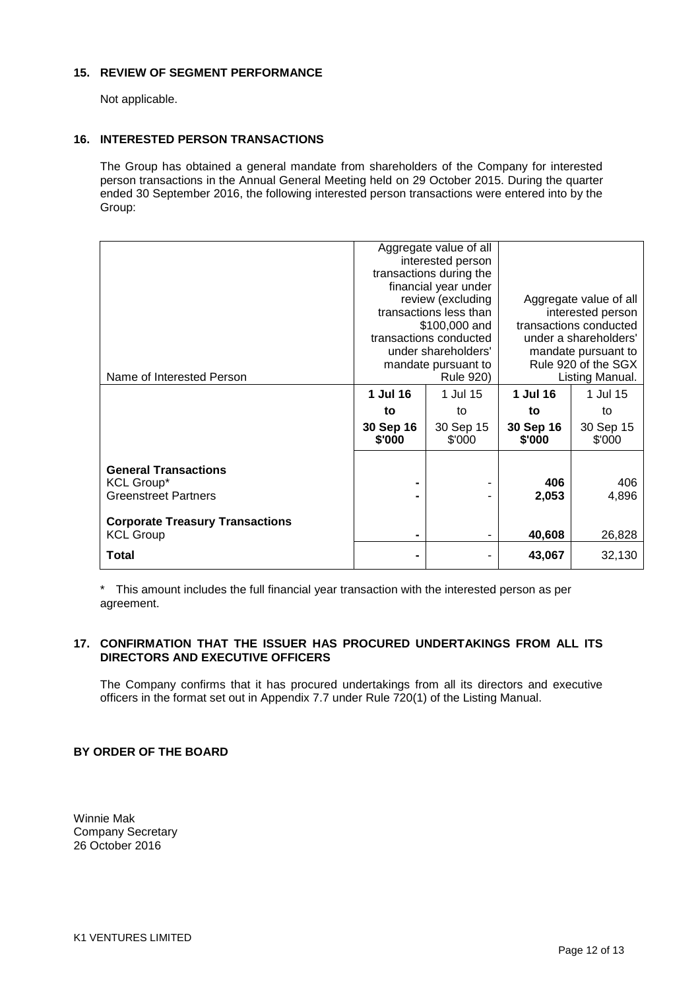### **15. REVIEW OF SEGMENT PERFORMANCE**

Not applicable.

### **16. INTERESTED PERSON TRANSACTIONS**

The Group has obtained a general mandate from shareholders of the Company for interested person transactions in the Annual General Meeting held on 29 October 2015. During the quarter ended 30 September 2016, the following interested person transactions were entered into by the Group:

|                                                  |                                            | Aggregate value of all                       |                                            |                     |
|--------------------------------------------------|--------------------------------------------|----------------------------------------------|--------------------------------------------|---------------------|
|                                                  |                                            | interested person<br>transactions during the |                                            |                     |
|                                                  |                                            | financial year under                         |                                            |                     |
|                                                  | review (excluding                          |                                              | Aggregate value of all                     |                     |
|                                                  | transactions less than                     |                                              | interested person                          |                     |
|                                                  | \$100,000 and                              |                                              | transactions conducted                     |                     |
|                                                  | transactions conducted                     |                                              | under a shareholders'                      |                     |
|                                                  | under shareholders'<br>mandate pursuant to |                                              | mandate pursuant to<br>Rule 920 of the SGX |                     |
| Name of Interested Person                        | <b>Rule 920)</b>                           |                                              | Listing Manual.                            |                     |
|                                                  | 1 Jul 16                                   | 1 Jul 15                                     | 1 Jul 16                                   | 1 Jul 15            |
|                                                  | to                                         | to                                           | to                                         | to                  |
|                                                  | 30 Sep 16<br>\$'000                        | 30 Sep 15<br>\$'000                          | 30 Sep 16<br>\$'000                        | 30 Sep 15<br>\$'000 |
|                                                  |                                            |                                              |                                            |                     |
| <b>General Transactions</b><br><b>KCL Group*</b> |                                            |                                              | 406                                        | 406                 |
| <b>Greenstreet Partners</b>                      |                                            |                                              | 2,053                                      | 4,896               |
|                                                  |                                            |                                              |                                            |                     |
| <b>Corporate Treasury Transactions</b>           |                                            |                                              |                                            |                     |
| <b>KCL Group</b>                                 |                                            |                                              | 40,608                                     | 26,828              |
| Total                                            |                                            |                                              | 43,067                                     | 32,130              |

This amount includes the full financial year transaction with the interested person as per agreement.

### **17. CONFIRMATION THAT THE ISSUER HAS PROCURED UNDERTAKINGS FROM ALL ITS DIRECTORS AND EXECUTIVE OFFICERS**

The Company confirms that it has procured undertakings from all its directors and executive officers in the format set out in Appendix 7.7 under Rule 720(1) of the Listing Manual.

### **BY ORDER OF THE BOARD**

Winnie Mak Company Secretary 26 October 2016